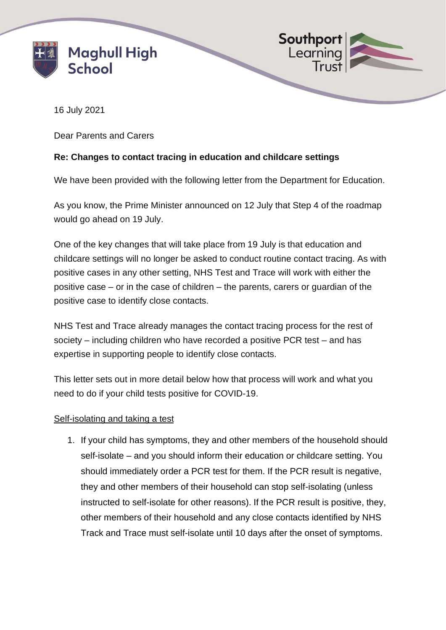



16 July 2021

Dear Parents and Carers

## **Re: Changes to contact tracing in education and childcare settings**

We have been provided with the following letter from the Department for Education.

As you know, the Prime Minister announced on 12 July that Step 4 of the roadmap would go ahead on 19 July.

One of the key changes that will take place from 19 July is that education and childcare settings will no longer be asked to conduct routine contact tracing. As with positive cases in any other setting, NHS Test and Trace will work with either the positive case – or in the case of children – the parents, carers or guardian of the positive case to identify close contacts.

NHS Test and Trace already manages the contact tracing process for the rest of society – including children who have recorded a positive PCR test – and has expertise in supporting people to identify close contacts.

This letter sets out in more detail below how that process will work and what you need to do if your child tests positive for COVID-19.

## Self-isolating and taking a test

1. If your child has symptoms, they and other members of the household should self-isolate – and you should inform their education or childcare setting. You should immediately order a PCR test for them. If the PCR result is negative, they and other members of their household can stop self-isolating (unless instructed to self-isolate for other reasons). If the PCR result is positive, they, other members of their household and any close contacts identified by NHS Track and Trace must self-isolate until 10 days after the onset of symptoms.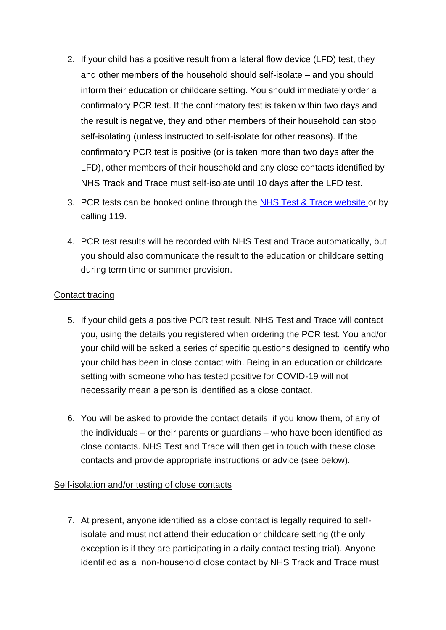- 2. If your child has a positive result from a lateral flow device (LFD) test, they and other members of the household should self-isolate – and you should inform their education or childcare setting. You should immediately order a confirmatory PCR test. If the confirmatory test is taken within two days and the result is negative, they and other members of their household can stop self-isolating (unless instructed to self-isolate for other reasons). If the confirmatory PCR test is positive (or is taken more than two days after the LFD), other members of their household and any close contacts identified by NHS Track and Trace must self-isolate until 10 days after the LFD test.
- 3. PCR tests can be booked online through the [NHS Test & Trace website](https://www.nhs.uk/conditions/coronavirus-covid-19/testing/) or by calling 119.
- 4. PCR test results will be recorded with NHS Test and Trace automatically, but you should also communicate the result to the education or childcare setting during term time or summer provision.

## Contact tracing

- 5. If your child gets a positive PCR test result, NHS Test and Trace will contact you, using the details you registered when ordering the PCR test. You and/or your child will be asked a series of specific questions designed to identify who your child has been in close contact with. Being in an education or childcare setting with someone who has tested positive for COVID-19 will not necessarily mean a person is identified as a close contact.
- 6. You will be asked to provide the contact details, if you know them, of any of the individuals – or their parents or guardians – who have been identified as close contacts. NHS Test and Trace will then get in touch with these close contacts and provide appropriate instructions or advice (see below).

## Self-isolation and/or testing of close contacts

7. At present, anyone identified as a close contact is legally required to selfisolate and must not attend their education or childcare setting (the only exception is if they are participating in a daily contact testing trial). Anyone identified as a non-household close contact by NHS Track and Trace must